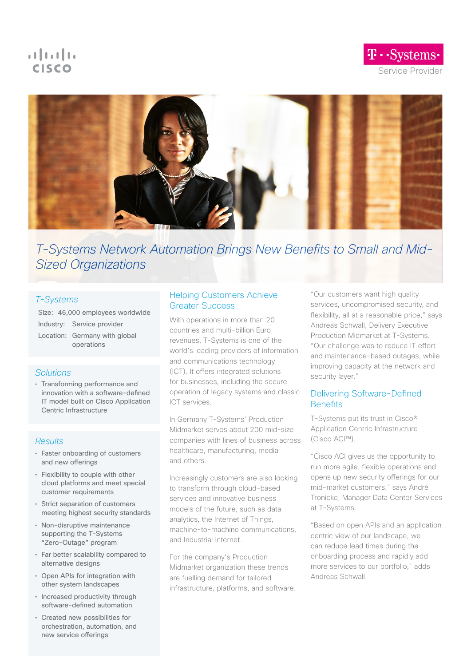# $\mathbf{d}$   $\mathbf{d}$   $\mathbf{d}$ **CISCO**

T · · Systems · Service Provider



# T-Systems Network Automation Brings New Benefits to Small and Mid-Sized Organizations

# T-Systems

Size: 46,000 employees worldwide Industry: Service provider Location: Germany with global operations

# **Solutions**

• Transforming performance and innovation with a software-defned IT model built on Cisco Application Centric Infrastructure

# **Results**

- Faster onboarding of customers and new offerings
- Flexibility to couple with other cloud platforms and meet special customer requirements
- Strict separation of customers meeting highest security standards
- Non-disruptive maintenance supporting the T-Systems "Zero-Outage" program
- Far better scalability compared to alternative designs
- Open APIs for integration with other system landscapes
- Increased productivity through software-defned automation
- Created new possibilities for orchestration, automation, and new service oferings

# Helping Customers Achieve Greater Success

With operations in more than 20 countries and multi-billion Euro revenues, T-Systems is one of the world's leading providers of information and communications technology (ICT). It ofers integrated solutions for businesses, including the secure operation of legacy systems and classic ICT services.

In Germany T-Systems' Production Midmarket serves about 200 mid-size companies with lines of business across healthcare, manufacturing, media and others.

Increasingly customers are also looking to transform through cloud-based services and innovative business models of the future, such as data analytics, the Internet of Things, machine-to-machine communications, and Industrial Internet.

For the company's Production Midmarket organization these trends are fuelling demand for tailored infrastructure, platforms, and software.

"Our customers want high quality services, uncompromised security, and flexibility, all at a reasonable price," says Andreas Schwall, Delivery Executive Production Midmarket at T-Systems. "Our challenge was to reduce IT efort and maintenance-based outages, while improving capacity at the network and security layer."

# Delivering Software-Defned **Benefits**

T-Systems put its trust in Cisco® Application Centric Infrastructure (Cisco ACI™).

"Cisco ACI gives us the opportunity to run more agile, fexible operations and opens up new security oferings for our mid-market customers," says André Tronicke, Manager Data Center Services at T-Systems.

"Based on open APIs and an application centric view of our landscape, we can reduce lead times during the onboarding process and rapidly add more services to our portfolio," adds Andreas Schwall.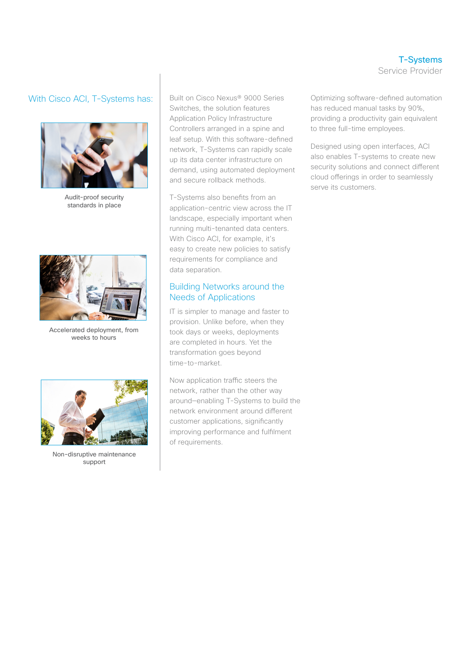# With Cisco ACI, T-Systems has:



Audit-proof security standards in place



Accelerated deployment, from weeks to hours



Non-disruptive maintenance support

Built on Cisco Nexus® 9000 Series Switches, the solution features Application Policy Infrastructure Controllers arranged in a spine and leaf setup. With this software-defned network, T-Systems can rapidly scale up its data center infrastructure on demand, using automated deployment and secure rollback methods.

T-Systems also benefts from an application-centric view across the IT landscape, especially important when running multi-tenanted data centers. With Cisco ACI, for example, it's easy to create new policies to satisfy requirements for compliance and data separation.

### Building Networks around the Needs of Applications

IT is simpler to manage and faster to provision. Unlike before, when they took days or weeks, deployments are completed in hours. Yet the transformation goes beyond time-to-market.

Now application traffic steers the network, rather than the other way around—enabling T-Systems to build the network environment around diferent customer applications, signifcantly improving performance and fulflment of requirements.

T-Systems Service Provider

Optimizing software-defned automation has reduced manual tasks by 90%, providing a productivity gain equivalent to three full-time employees.

Designed using open interfaces, ACI also enables T-systems to create new security solutions and connect diferent cloud oferings in order to seamlessly serve its customers.